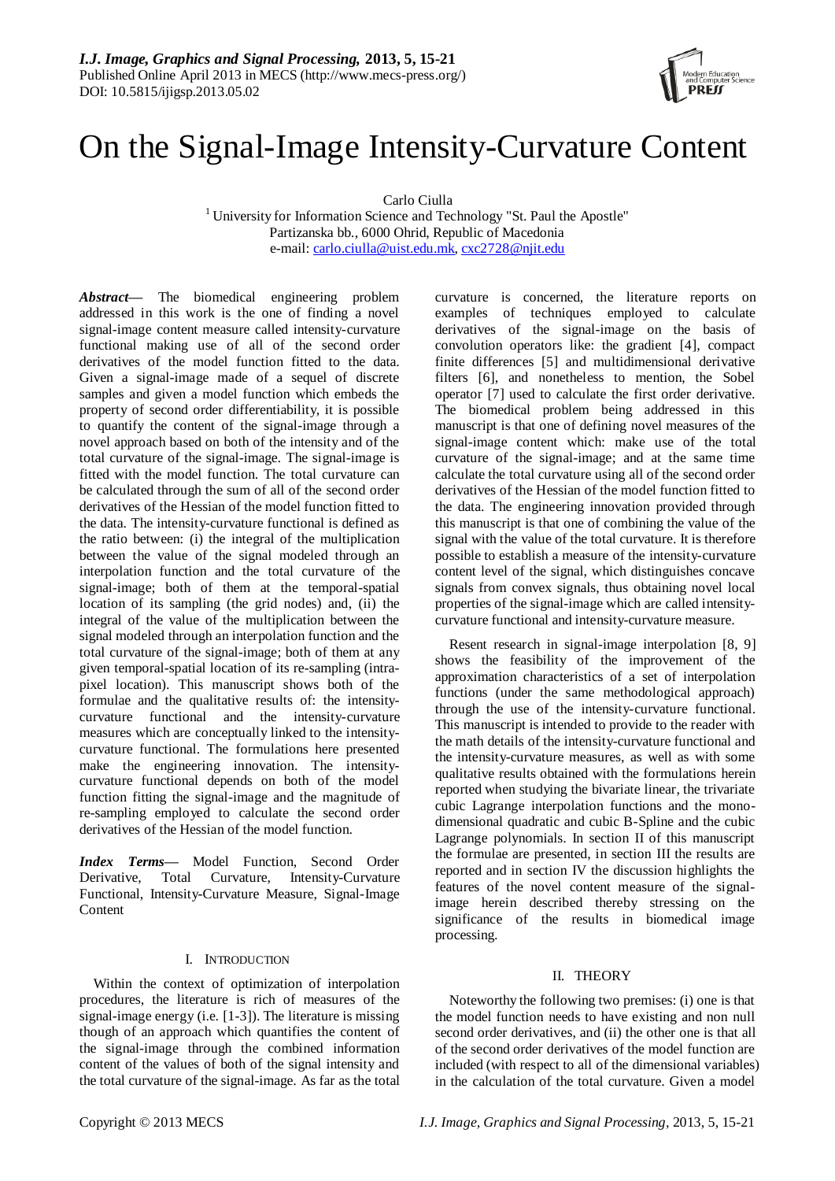

# On the Signal-Image Intensity-Curvature Content

Carlo Ciulla

<sup>1</sup> University for Information Science and Technology "St. Paul the Apostle" Partizanska bb., 6000 Ohrid, Republic of Macedonia e-mail: [carlo.ciulla@uist.edu.mk,](mailto:carlo.ciulla@uist.edu.mk) [cxc2728@njit.edu](mailto:cxc2728@njit.edu)

*Abstract***—** The biomedical engineering problem addressed in this work is the one of finding a novel signal-image content measure called intensity-curvature functional making use of all of the second order derivatives of the model function fitted to the data. Given a signal-image made of a sequel of discrete samples and given a model function which embeds the property of second order differentiability, it is possible to quantify the content of the signal-image through a novel approach based on both of the intensity and of the total curvature of the signal-image. The signal-image is fitted with the model function. The total curvature can be calculated through the sum of all of the second order derivatives of the Hessian of the model function fitted to the data. The intensity-curvature functional is defined as the ratio between: (i) the integral of the multiplication between the value of the signal modeled through an interpolation function and the total curvature of the signal-image; both of them at the temporal-spatial location of its sampling (the grid nodes) and, (ii) the integral of the value of the multiplication between the signal modeled through an interpolation function and the total curvature of the signal-image; both of them at any given temporal-spatial location of its re-sampling (intrapixel location). This manuscript shows both of the formulae and the qualitative results of: the intensitycurvature functional and the intensity-curvature measures which are conceptually linked to the intensitycurvature functional. The formulations here presented make the engineering innovation. The intensitycurvature functional depends on both of the model function fitting the signal-image and the magnitude of re-sampling employed to calculate the second order derivatives of the Hessian of the model function.

*Index Terms—* Model Function, Second Order Derivative, Total Curvature, Intensity-Curvature Functional, Intensity-Curvature Measure, Signal-Image Content

## I. INTRODUCTION

Within the context of optimization of interpolation procedures, the literature is rich of measures of the signal-image energy (i.e. [1-3]). The literature is missing though of an approach which quantifies the content of the signal-image through the combined information content of the values of both of the signal intensity and the total curvature of the signal-image. As far as the total

curvature is concerned, the literature reports on examples of techniques employed to calculate derivatives of the signal-image on the basis of convolution operators like: the gradient [4], compact finite differences [5] and multidimensional derivative filters [6], and nonetheless to mention, the Sobel operator [7] used to calculate the first order derivative. The biomedical problem being addressed in this manuscript is that one of defining novel measures of the signal-image content which: make use of the total curvature of the signal-image; and at the same time calculate the total curvature using all of the second order derivatives of the Hessian of the model function fitted to the data. The engineering innovation provided through this manuscript is that one of combining the value of the signal with the value of the total curvature. It is therefore possible to establish a measure of the intensity-curvature content level of the signal, which distinguishes concave signals from convex signals, thus obtaining novel local properties of the signal-image which are called intensitycurvature functional and intensity-curvature measure.

Resent research in signal-image interpolation [8, 9] shows the feasibility of the improvement of the approximation characteristics of a set of interpolation functions (under the same methodological approach) through the use of the intensity-curvature functional. This manuscript is intended to provide to the reader with the math details of the intensity-curvature functional and the intensity-curvature measures, as well as with some qualitative results obtained with the formulations herein reported when studying the bivariate linear, the trivariate cubic Lagrange interpolation functions and the monodimensional quadratic and cubic B-Spline and the cubic Lagrange polynomials. In section II of this manuscript the formulae are presented, in section III the results are reported and in section IV the discussion highlights the features of the novel content measure of the signalimage herein described thereby stressing on the significance of the results in biomedical image processing.

## II. THEORY

Noteworthy the following two premises: (i) one is that the model function needs to have existing and non null second order derivatives, and (ii) the other one is that all of the second order derivatives of the model function are included (with respect to all of the dimensional variables) in the calculation of the total curvature. Given a model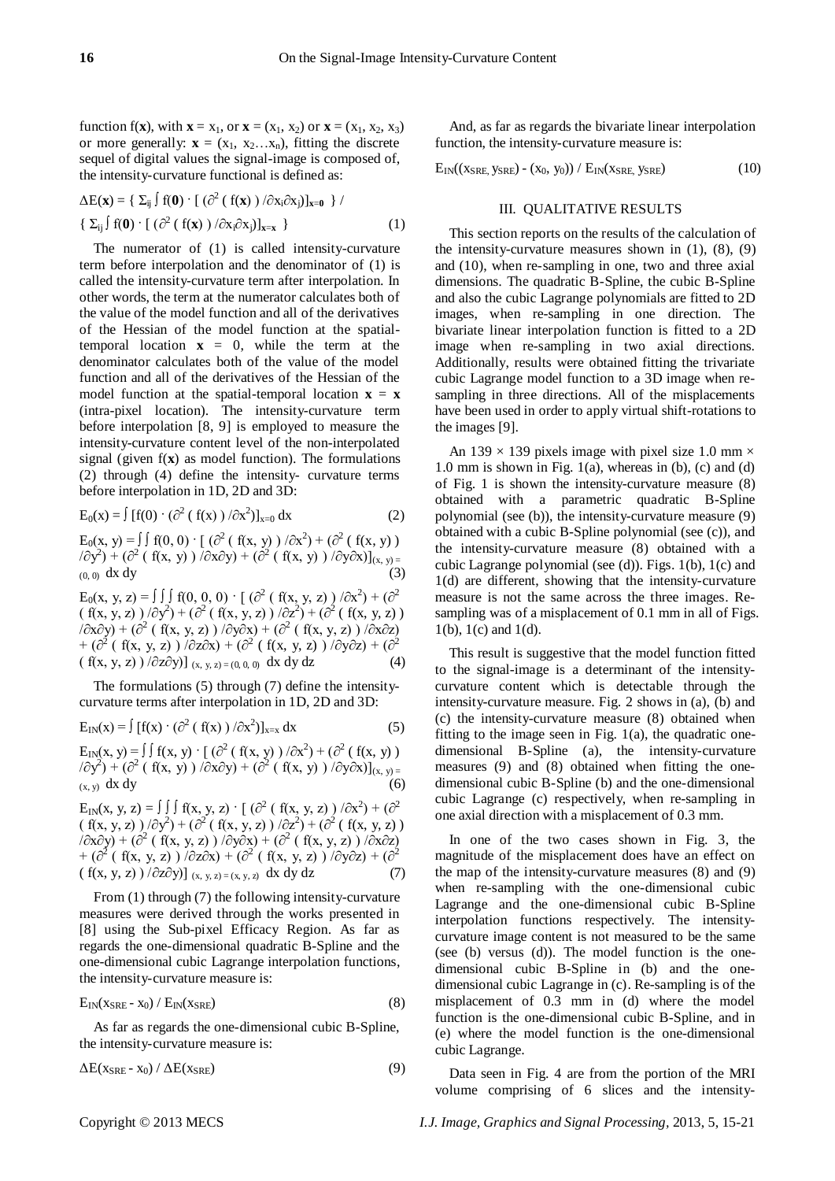function f(**x**), with  $\mathbf{x} = x_1$ , or  $\mathbf{x} = (x_1, x_2)$  or  $\mathbf{x} = (x_1, x_2, x_3)$ or more generally:  $\mathbf{x} = (x_1, x_2...x_n)$ , fitting the discrete sequel of digital values the signal-image is composed of, the intensity-curvature functional is defined as:

$$
\Delta E(\mathbf{x}) = \{ \Sigma_{ij} \int f(\mathbf{0}) \cdot [ (\partial^2 (f(\mathbf{x})) / \partial x_i \partial x_j)]_{\mathbf{x} = \mathbf{0}} \} / \{ \Sigma_{ij} \int f(\mathbf{0}) \cdot [ (\partial^2 (f(\mathbf{x})) / \partial x_i \partial x_j)]_{\mathbf{x} = \mathbf{x}} \}
$$
\n(1)

The numerator of (1) is called intensity-curvature term before interpolation and the denominator of (1) is called the intensity-curvature term after interpolation. In other words, the term at the numerator calculates both of the value of the model function and all of the derivatives of the Hessian of the model function at the spatialtemporal location  $x = 0$ , while the term at the denominator calculates both of the value of the model function and all of the derivatives of the Hessian of the model function at the spatial-temporal location  $\mathbf{x} = \mathbf{x}$ (intra-pixel location). The intensity-curvature term before interpolation [8, 9] is employed to measure the intensity-curvature content level of the non-interpolated signal (given f(**x**) as model function). The formulations (2) through (4) define the intensity- curvature terms before interpolation in 1D, 2D and 3D:

$$
E_0(x) = \int [f(0) \cdot (\partial^2 (f(x)) / \partial x^2)]_{x=0} dx
$$
 (2)

 $E_0(x, y) = \int \int f(0, 0) \cdot [\int (\partial^2 (\int f(x, y)) / \partial x^2) + (\partial^2 (\int f(x, y)) )$  $(\partial \hat{y}^2) + (\partial^2 (f(x, y)) \bar{\partial}x \partial y) + (\partial^2 (f(x, y)) \bar{\partial}y \partial x)]_{(x, y)}$  $(0, 0)$  dx dy  $(3)$ 

E<sub>0</sub>(x, y, z) = ∫ ∫ f(0, 0, 0) · [ ( $\partial^2$  ( f(x, y, z) )  $/\partial x^2$ ) + ( $\partial^2$  $(f(x, y, z)) / \partial y^2$  +  $(\partial^2 (f(x, y, z)) / \partial z^2)$  +  $(\partial^2 (f(x, y, z))$  $\left(\frac{\partial}{\partial x} \partial y\right) + \left(\frac{\partial^2}{\partial x} \left( f(x, y, z) \right) / \partial y \partial x\right) + \left(\frac{\partial^2}{\partial x} \left( f(x, y, z) \right) / \partial x \partial z\right)$  $+$  ( $\partial^2$  (f(x, y, z))  $\partial^2$ ( $\partial^2$ ) + ( $\partial^2$ ) (f(x, y, z))  $\partial y \partial z$ ) + ( $\partial^2$  $(f(x, y, z)) / \partial z \partial y$ ] (x, y, z) = (0, 0, 0) dx dy dz (4)

The formulations (5) through (7) define the intensitycurvature terms after interpolation in 1D, 2D and 3D:

$$
E_{IN}(x) = \int [f(x) \cdot (\partial^2 (f(x)) / \partial x^2)]_{x=x} dx
$$
 (5)

 $E_{IN}(x, y) = \int \int f(x, y) \cdot [\frac{\partial^2}{\partial x^2} + \frac{\partial^2}{\partial y^2} + \frac{\partial^2}{\partial (x, y)})$  $(\partial \partial y^2) + (\partial^2 (f(x, y)) / \partial x \partial y) + (\partial^2 (f(x, y)) / \partial y \partial x)_{(x, y)}$  $(x, y)$  dx dy (6)

 $E_{IN}(x, y, z) = \int \int \int f(x, y, z) \cdot [\frac{\partial^2}{\partial x^2} + \frac{\partial^2}{\partial y^2}] + (\frac{\partial^2}{\partial y^2})$  $(f(x, y, z)) / \partial y^2$  +  $(\partial^2 (f(x, y, z)) / \partial z^2)$  +  $(\partial^2 (f(x, y, z))$  $\left(\frac{\partial}{\partial x} \partial y\right) + \left(\frac{\partial^2}{\partial y} \left(f(x, y, z)\right) / \partial y \partial x\right) + \left(\frac{\partial^2}{\partial x} \left(f(x, y, z)\right) / \partial x \partial z\right)$  $+$  ( $\partial^2$  (f(x, y, z))  $\partial^2$ ( $\partial^2$ ) + ( $\partial^2$ ) (f(x, y, z))  $\partial y \partial z$ ) + ( $\partial^2$  $(f(x, y, z)) / \partial z \partial y$ ] (x, y, z) = (x, y, z) dx dy dz (7)

From (1) through (7) the following intensity-curvature measures were derived through the works presented in [8] using the Sub-pixel Efficacy Region. As far as regards the one-dimensional quadratic B-Spline and the one-dimensional cubic Lagrange interpolation functions, the intensity-curvature measure is:

$$
E_{IN}(x_{SRE} - x_0) / E_{IN}(x_{SRE})
$$
\n(8)

As far as regards the one-dimensional cubic B-Spline, the intensity-curvature measure is:

$$
\Delta E(x_{SRE} - x_0) / \Delta E(x_{SRE})
$$
\n(9)

And, as far as regards the bivariate linear interpolation function, the intensity-curvature measure is:

 $E_{IN}((x_{SRE}, y_{SRE}) - (x_0, y_0)) / E_{IN}(x_{SRE}, y_{SRE})$  (10)

## III. QUALITATIVE RESULTS

This section reports on the results of the calculation of the intensity-curvature measures shown in  $(1)$ ,  $(8)$ ,  $(9)$ and (10), when re-sampling in one, two and three axial dimensions. The quadratic B-Spline, the cubic B-Spline and also the cubic Lagrange polynomials are fitted to 2D images, when re-sampling in one direction. The bivariate linear interpolation function is fitted to a 2D image when re-sampling in two axial directions. Additionally, results were obtained fitting the trivariate cubic Lagrange model function to a 3D image when resampling in three directions. All of the misplacements have been used in order to apply virtual shift-rotations to the images [9].

An 139  $\times$  139 pixels image with pixel size 1.0 mm  $\times$ 1.0 mm is shown in Fig. 1(a), whereas in (b), (c) and (d) of Fig. 1 is shown the intensity-curvature measure (8) obtained with a parametric quadratic B-Spline polynomial (see (b)), the intensity-curvature measure (9) obtained with a cubic B-Spline polynomial (see (c)), and the intensity-curvature measure (8) obtained with a cubic Lagrange polynomial (see (d)). Figs. 1(b), 1(c) and 1(d) are different, showing that the intensity-curvature measure is not the same across the three images. Resampling was of a misplacement of 0.1 mm in all of Figs. 1(b), 1(c) and 1(d).

This result is suggestive that the model function fitted to the signal-image is a determinant of the intensitycurvature content which is detectable through the intensity-curvature measure. Fig. 2 shows in (a), (b) and (c) the intensity-curvature measure (8) obtained when fitting to the image seen in Fig. 1(a), the quadratic onedimensional B-Spline (a), the intensity-curvature measures (9) and (8) obtained when fitting the onedimensional cubic B-Spline (b) and the one-dimensional cubic Lagrange (c) respectively, when re-sampling in one axial direction with a misplacement of 0.3 mm.

In one of the two cases shown in Fig. 3, the magnitude of the misplacement does have an effect on the map of the intensity-curvature measures (8) and (9) when re-sampling with the one-dimensional cubic Lagrange and the one-dimensional cubic B-Spline interpolation functions respectively. The intensitycurvature image content is not measured to be the same (see (b) versus (d)). The model function is the onedimensional cubic B-Spline in (b) and the onedimensional cubic Lagrange in (c). Re-sampling is of the misplacement of 0.3 mm in (d) where the model function is the one-dimensional cubic B-Spline, and in (e) where the model function is the one-dimensional cubic Lagrange.

Data seen in Fig. 4 are from the portion of the MRI volume comprising of 6 slices and the intensity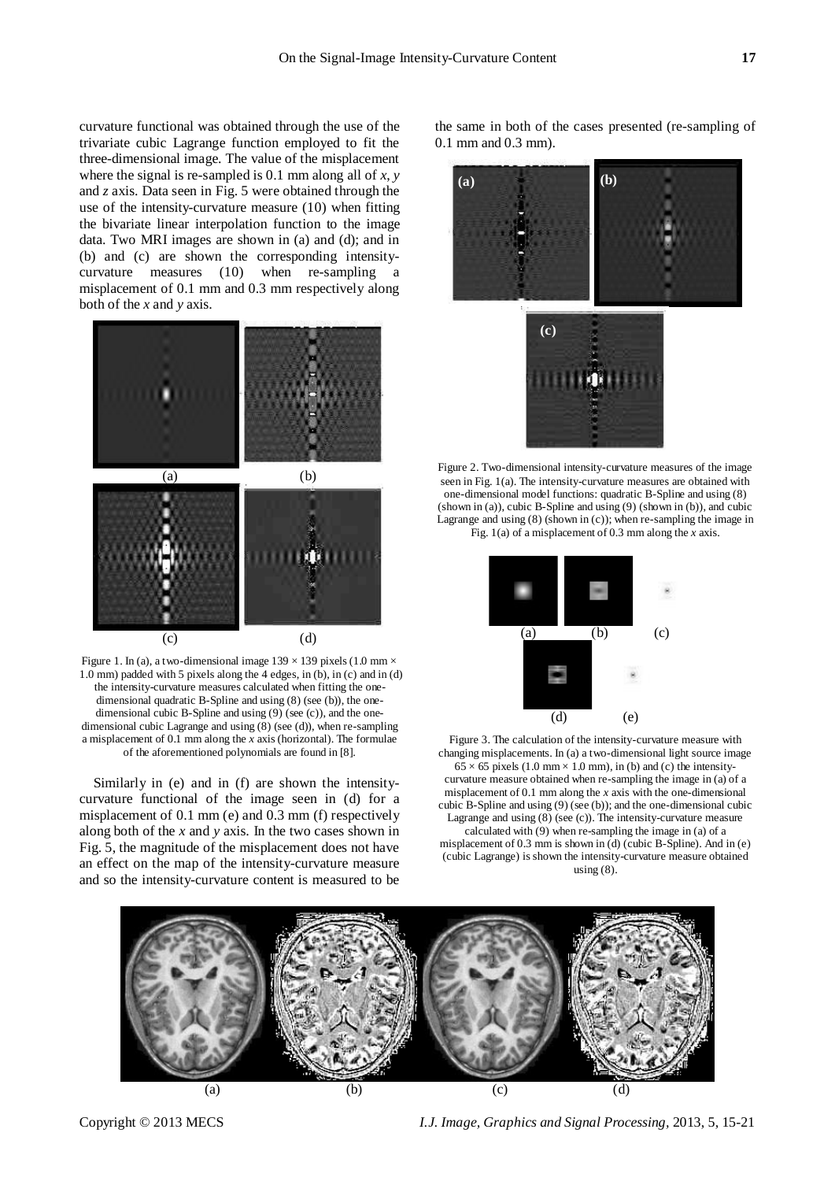curvature functional was obtained through the use of the trivariate cubic Lagrange function employed to fit the three-dimensional image. The value of the misplacement where the signal is re-sampled is 0.1 mm along all of *x*, *y* and *z* axis. Data seen in Fig. 5 were obtained through the use of the intensity-curvature measure (10) when fitting the bivariate linear interpolation function to the image data. Two MRI images are shown in (a) and (d); and in (b) and (c) are shown the corresponding intensitycurvature measures (10) when re-sampling a misplacement of 0.1 mm and 0.3 mm respectively along both of the *x* and *y* axis.



Figure 1. In (a), a two-dimensional image 139  $\times$  139 pixels (1.0 mm  $\times$ 1.0 mm) padded with 5 pixels along the 4 edges, in  $(b)$ , in  $(c)$  and in  $(d)$ the intensity-curvature measures calculated when fitting the onedimensional quadratic B-Spline and using (8) (see (b)), the onedimensional cubic B-Spline and using (9) (see (c)), and the onedimensional cubic Lagrange and using (8) (see (d)), when re-sampling a misplacement of 0.1 mm along the *x* axis (horizontal). The formulae of the aforementioned polynomials are found in [8].

Similarly in (e) and in (f) are shown the intensitycurvature functional of the image seen in (d) for a misplacement of 0.1 mm (e) and 0.3 mm (f) respectively along both of the *x* and *y* axis. In the two cases shown in Fig. 5, the magnitude of the misplacement does not have an effect on the map of the intensity-curvature measure and so the intensity-curvature content is measured to be

the same in both of the cases presented (re-sampling of 0.1 mm and 0.3 mm).



Figure 2. Two-dimensional intensity-curvature measures of the image seen in Fig. 1(a). The intensity-curvature measures are obtained with one-dimensional model functions: quadratic B-Spline and using (8) (shown in (a)), cubic B-Spline and using (9) (shown in (b)), and cubic Lagrange and using  $(8)$  (shown in  $(c)$ ); when re-sampling the image in Fig. 1(a) of a misplacement of 0.3 mm along the *x* axis.



Figure 3. The calculation of the intensity-curvature measure with changing misplacements. In (a) a two-dimensional light source image  $65 \times 65$  pixels (1.0 mm  $\times$  1.0 mm), in (b) and (c) the intensitycurvature measure obtained when re-sampling the image in (a) of a misplacement of 0.1 mm along the *x* axis with the one-dimensional cubic B-Spline and using (9) (see (b)); and the one-dimensional cubic Lagrange and using (8) (see (c)). The intensity-curvature measure calculated with (9) when re-sampling the image in (a) of a misplacement of 0.3 mm is shown in (d) (cubic B-Spline). And in (e) (cubic Lagrange) is shown the intensity-curvature measure obtained using  $(8)$ .



Copyright © 2013 MECS *I.J. Image, Graphics and Signal Processing,* 2013, 5, 15-21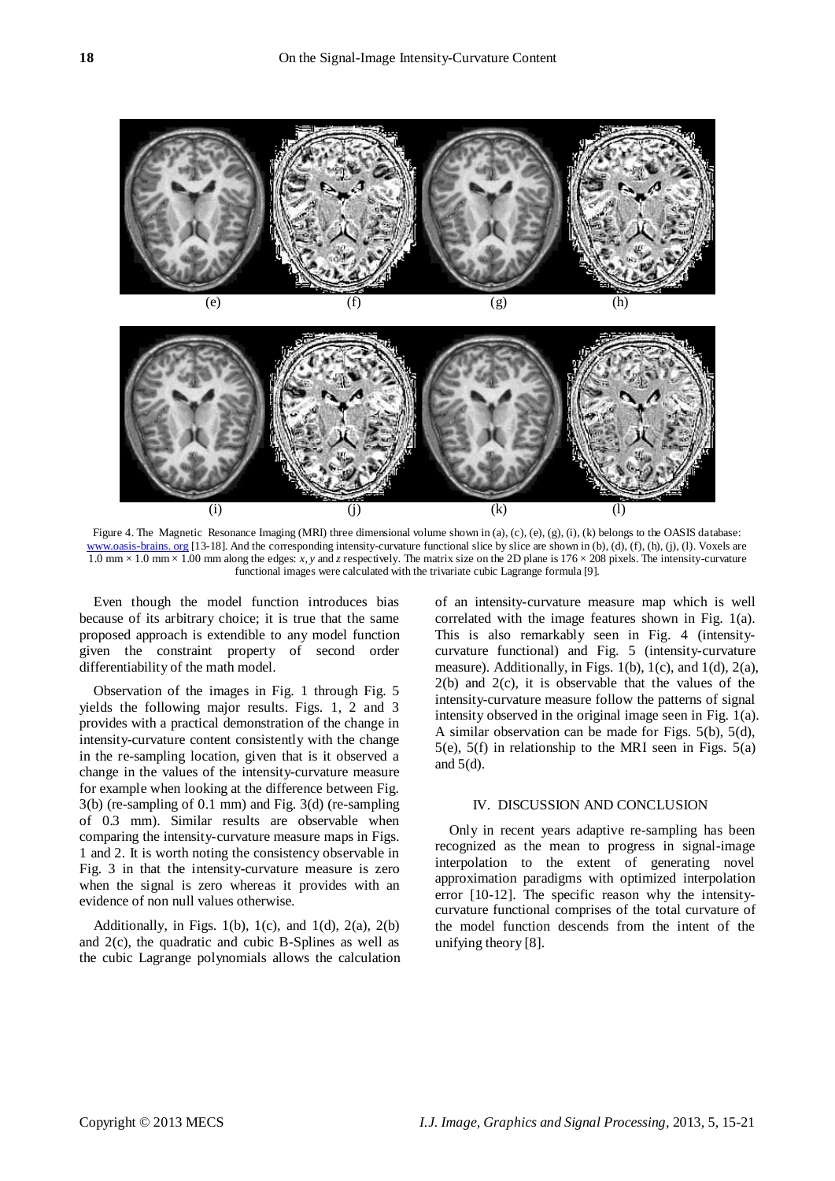



Figure 4. The Magnetic Resonance Imaging (MRI) three dimensional volume shown in (a), (c), (e), (g), (i), (k) belongs to the OASIS database: www.oasis-brains. org [13-18]. And the corresponding intensity-curvature functional slice by slice are shown in (b), (d), (f), (h), (j), (l). Voxels are 1.0 mm × 1.0 mm × 1.00 mm along the edges: *x*, *y* and *z* respectively. The matrix size on the 2D plane is 176 × 208 pixels. The intensity-curvature functional images were calculated with the trivariate cubic Lagrange formula [9].

Even though the model function introduces bias because of its arbitrary choice; it is true that the same proposed approach is extendible to any model function given the constraint property of second order differentiability of the math model.

Observation of the images in Fig. 1 through Fig. 5 yields the following major results. Figs. 1, 2 and 3 provides with a practical demonstration of the change in intensity-curvature content consistently with the change in the re-sampling location, given that is it observed a change in the values of the intensity-curvature measure for example when looking at the difference between Fig. 3(b) (re-sampling of 0.1 mm) and Fig. 3(d) (re-sampling of 0.3 mm). Similar results are observable when comparing the intensity-curvature measure maps in Figs. 1 and 2. It is worth noting the consistency observable in Fig. 3 in that the intensity-curvature measure is zero when the signal is zero whereas it provides with an evidence of non null values otherwise.

Additionally, in Figs. 1(b), 1(c), and 1(d), 2(a), 2(b) and 2(c), the quadratic and cubic B-Splines as well as the cubic Lagrange polynomials allows the calculation of an intensity-curvature measure map which is well correlated with the image features shown in Fig. 1(a). This is also remarkably seen in Fig. 4 (intensitycurvature functional) and Fig. 5 (intensity-curvature measure). Additionally, in Figs. 1(b), 1(c), and 1(d), 2(a),  $2(b)$  and  $2(c)$ , it is observable that the values of the intensity-curvature measure follow the patterns of signal intensity observed in the original image seen in Fig. 1(a). A similar observation can be made for Figs. 5(b), 5(d), 5(e), 5(f) in relationship to the MRI seen in Figs. 5(a) and 5(d).

## IV. DISCUSSION AND CONCLUSION

Only in recent years adaptive re-sampling has been recognized as the mean to progress in signal-image interpolation to the extent of generating novel approximation paradigms with optimized interpolation error [10-12]. The specific reason why the intensitycurvature functional comprises of the total curvature of the model function descends from the intent of the unifying theory [8].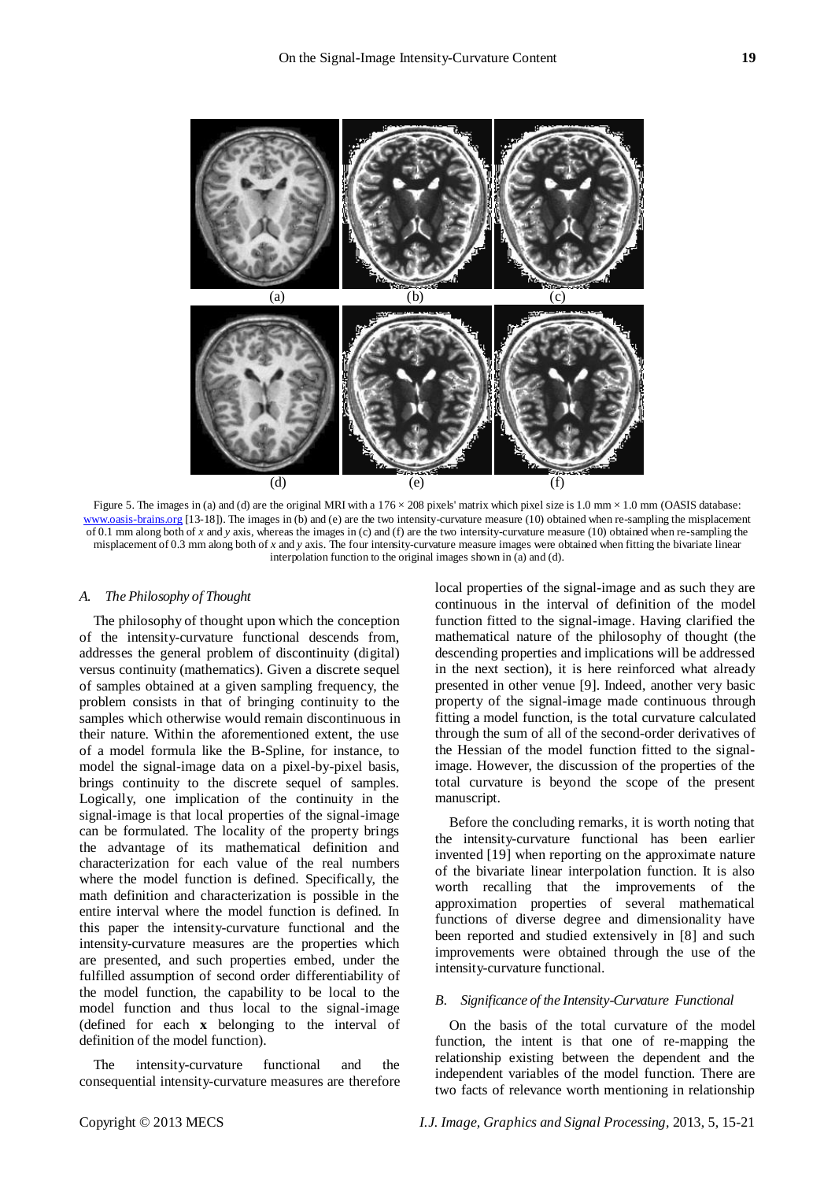

Figure 5. The images in (a) and (d) are the original MRI with a  $176 \times 208$  pixels' matrix which pixel size is 1.0 mm  $\times 1.0$  mm (OASIS database: woasis-brains.org  $[13-18]$ ). The images in (b) and (e) are the two intensity-curvature measure  $(10)$  obtained when re-sampling the misplacement of 0.1 mm along both of *x* and *y* axis, whereas the images in (c) and (f) are the two intensity-curvature measure (10) obtained when re-sampling the misplacement of 0.3 mm along both of *x* and *y* axis. The four intensity-curvature measure images were obtained when fitting the bivariate linear interpolation function to the original images shown in (a) and (d).

#### *A. The Philosophy of Thought*

The philosophy of thought upon which the conception of the intensity-curvature functional descends from, addresses the general problem of discontinuity (digital) versus continuity (mathematics). Given a discrete sequel of samples obtained at a given sampling frequency, the problem consists in that of bringing continuity to the samples which otherwise would remain discontinuous in their nature. Within the aforementioned extent, the use of a model formula like the B-Spline, for instance, to model the signal-image data on a pixel-by-pixel basis, brings continuity to the discrete sequel of samples. Logically, one implication of the continuity in the signal-image is that local properties of the signal-image can be formulated. The locality of the property brings the advantage of its mathematical definition and characterization for each value of the real numbers where the model function is defined. Specifically, the math definition and characterization is possible in the entire interval where the model function is defined. In this paper the intensity-curvature functional and the intensity-curvature measures are the properties which are presented, and such properties embed, under the fulfilled assumption of second order differentiability of the model function, the capability to be local to the model function and thus local to the signal-image (defined for each **x** belonging to the interval of definition of the model function).

The intensity-curvature functional and the consequential intensity-curvature measures are therefore local properties of the signal-image and as such they are continuous in the interval of definition of the model function fitted to the signal-image. Having clarified the mathematical nature of the philosophy of thought (the descending properties and implications will be addressed in the next section), it is here reinforced what already presented in other venue [9]. Indeed, another very basic property of the signal-image made continuous through fitting a model function, is the total curvature calculated through the sum of all of the second-order derivatives of the Hessian of the model function fitted to the signalimage. However, the discussion of the properties of the total curvature is beyond the scope of the present manuscript.

Before the concluding remarks, it is worth noting that the intensity-curvature functional has been earlier invented [19] when reporting on the approximate nature of the bivariate linear interpolation function. It is also worth recalling that the improvements of the approximation properties of several mathematical functions of diverse degree and dimensionality have been reported and studied extensively in [8] and such improvements were obtained through the use of the intensity-curvature functional.

## *B. Significance of the Intensity-Curvature Functional*

On the basis of the total curvature of the model function, the intent is that one of re-mapping the relationship existing between the dependent and the independent variables of the model function. There are two facts of relevance worth mentioning in relationship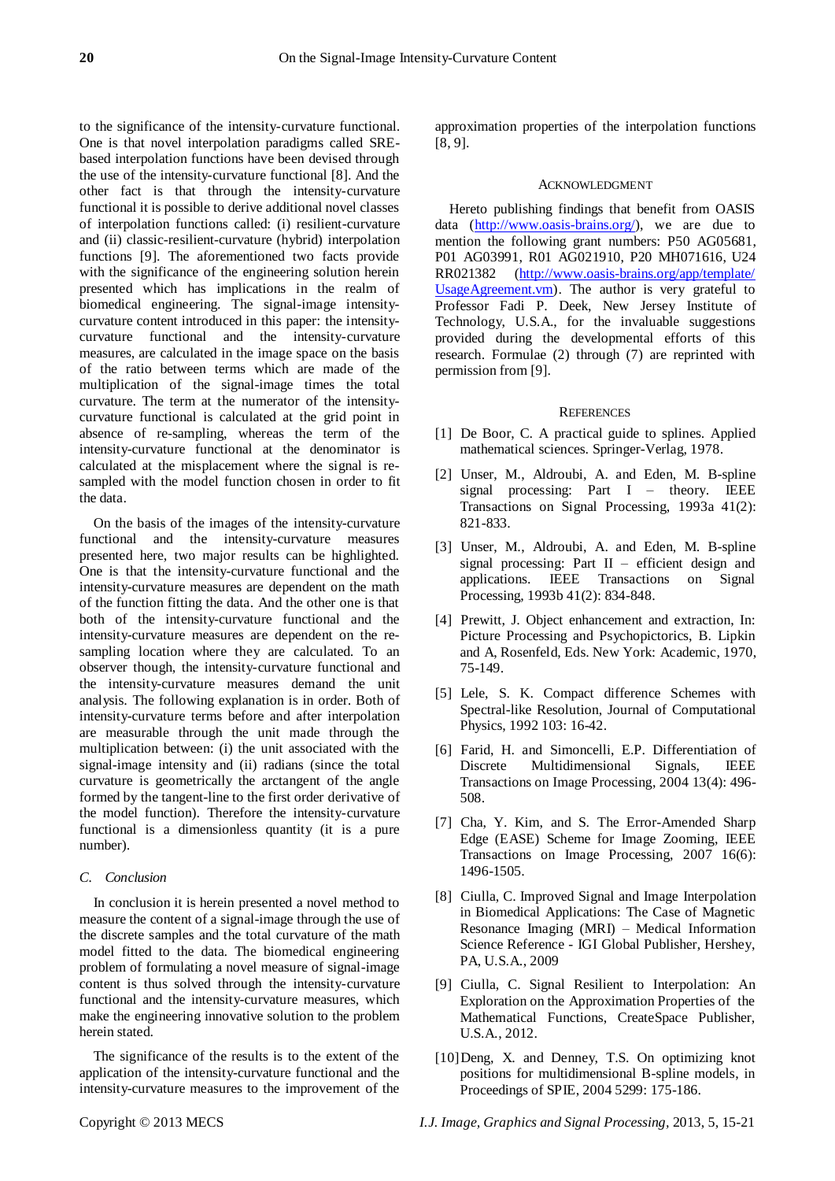to the significance of the intensity-curvature functional. One is that novel interpolation paradigms called SREbased interpolation functions have been devised through the use of the intensity-curvature functional [8]. And the other fact is that through the intensity-curvature functional it is possible to derive additional novel classes of interpolation functions called: (i) resilient-curvature and (ii) classic-resilient-curvature (hybrid) interpolation functions [9]. The aforementioned two facts provide with the significance of the engineering solution herein presented which has implications in the realm of biomedical engineering. The signal-image intensitycurvature content introduced in this paper: the intensitycurvature functional and the intensity-curvature measures, are calculated in the image space on the basis of the ratio between terms which are made of the multiplication of the signal-image times the total curvature. The term at the numerator of the intensitycurvature functional is calculated at the grid point in absence of re-sampling, whereas the term of the intensity-curvature functional at the denominator is calculated at the misplacement where the signal is resampled with the model function chosen in order to fit the data.

On the basis of the images of the intensity-curvature functional and the intensity-curvature measures presented here, two major results can be highlighted. One is that the intensity-curvature functional and the intensity-curvature measures are dependent on the math of the function fitting the data. And the other one is that both of the intensity-curvature functional and the intensity-curvature measures are dependent on the resampling location where they are calculated. To an observer though, the intensity-curvature functional and the intensity-curvature measures demand the unit analysis. The following explanation is in order. Both of intensity-curvature terms before and after interpolation are measurable through the unit made through the multiplication between: (i) the unit associated with the signal-image intensity and (ii) radians (since the total curvature is geometrically the arctangent of the angle formed by the tangent-line to the first order derivative of the model function). Therefore the intensity-curvature functional is a dimensionless quantity (it is a pure number).

## *C. Conclusion*

In conclusion it is herein presented a novel method to measure the content of a signal-image through the use of the discrete samples and the total curvature of the math model fitted to the data. The biomedical engineering problem of formulating a novel measure of signal-image content is thus solved through the intensity-curvature functional and the intensity-curvature measures, which make the engineering innovative solution to the problem herein stated.

The significance of the results is to the extent of the application of the intensity-curvature functional and the intensity-curvature measures to the improvement of the approximation properties of the interpolation functions [8, 9].

#### ACKNOWLEDGMENT

Hereto publishing findings that benefit from OASIS data [\(http://www.oasis-brains.org/\)](http://www.oasis-brains.org/), we are due to mention the following grant numbers: P50 AG05681, P01 AG03991, R01 AG021910, P20 MH071616, U24 RR021382 [\(http://www.oasis-brains.org/app/template/](http://www.oasis-brains.org/app/template/%20UsageAgreement.vm)  [UsageAgreement.vm\)](http://www.oasis-brains.org/app/template/%20UsageAgreement.vm). The author is very grateful to Professor Fadi P. Deek, New Jersey Institute of Technology, U.S.A., for the invaluable suggestions provided during the developmental efforts of this research. Formulae (2) through (7) are reprinted with permission from [9].

### **REFERENCES**

- [1] De Boor, C. A practical guide to splines. Applied mathematical sciences. Springer-Verlag, 1978.
- [2] Unser, M., Aldroubi, A. and Eden, M. B-spline signal processing: Part I – theory. IEEE Transactions on Signal Processing, 1993a 41(2): 821-833.
- [3] Unser, M., Aldroubi, A. and Eden, M. B-spline signal processing: Part  $II$  – efficient design and applications. IEEE Transactions on Signal Processing, 1993b 41(2): 834-848.
- [4] Prewitt, J. Object enhancement and extraction, In: Picture Processing and Psychopictorics, B. Lipkin and A, Rosenfeld, Eds. New York: Academic, 1970, 75-149.
- [5] Lele, S. K. Compact difference Schemes with Spectral-like Resolution, Journal of Computational Physics, 1992 103: 16-42.
- [6] Farid, H. and Simoncelli, E.P. Differentiation of Discrete Multidimensional Signals, IEEE Transactions on Image Processing, 2004 13(4): 496- 508.
- [7] Cha, Y. Kim, and S. The Error-Amended Sharp Edge (EASE) Scheme for Image Zooming, IEEE Transactions on Image Processing, 2007 16(6): 1496-1505.
- [8] Ciulla, C. Improved Signal and Image Interpolation in Biomedical Applications: The Case of Magnetic Resonance Imaging (MRI) – Medical Information Science Reference - IGI Global Publisher, Hershey, PA, U.S.A., 2009
- [9] Ciulla, C. Signal Resilient to Interpolation: An Exploration on the Approximation Properties of the Mathematical Functions, CreateSpace Publisher, U.S.A., 2012.
- [10]Deng, X. and Denney, T.S. On optimizing knot positions for multidimensional B-spline models, in Proceedings of SPIE, 2004 5299: 175-186.